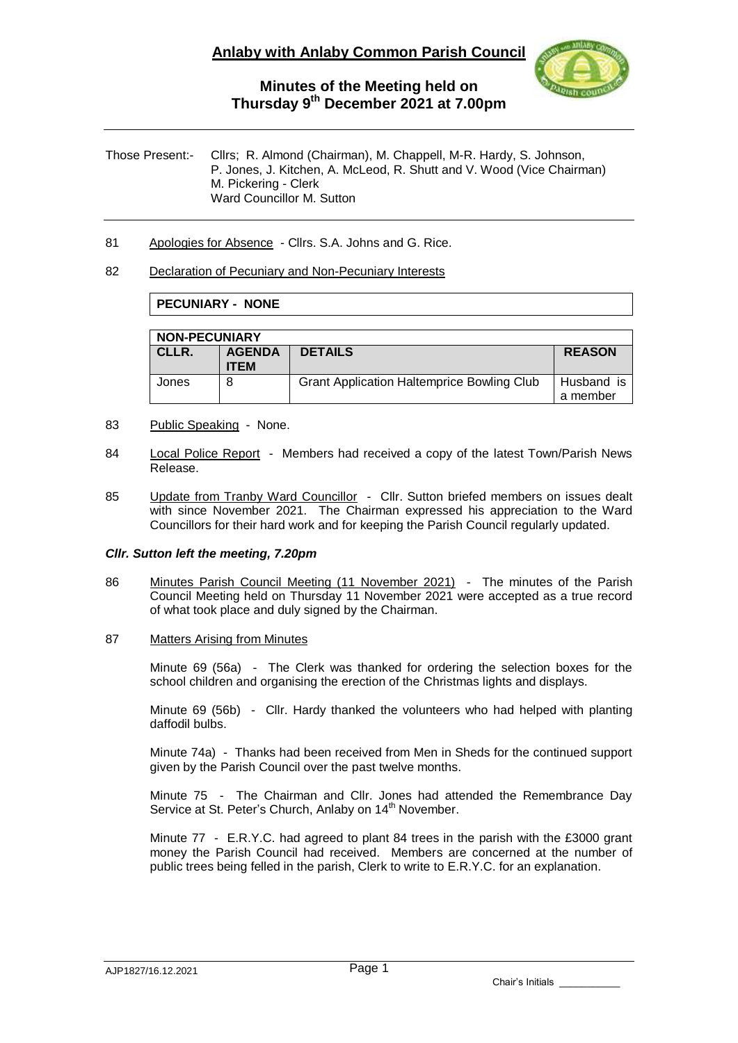

Those Present:- Cllrs; R. Almond (Chairman), M. Chappell, M-R. Hardy, S. Johnson, P. Jones, J. Kitchen, A. McLeod, R. Shutt and V. Wood (Vice Chairman) M. Pickering - Clerk Ward Councillor M. Sutton

81 Apologies for Absence - Cllrs. S.A. Johns and G. Rice.

#### 82 Declaration of Pecuniary and Non-Pecuniary Interests

### **PECUNIARY - NONE**

| <b>NON-PECUNIARY</b> |                              |                                                   |                        |  |  |
|----------------------|------------------------------|---------------------------------------------------|------------------------|--|--|
| CLLR.                | <b>AGENDA</b><br><b>ITEM</b> | <b>DETAILS</b>                                    | <b>REASON</b>          |  |  |
| Jones                | 8                            | <b>Grant Application Haltemprice Bowling Club</b> | Husband is<br>a member |  |  |

- 83 Public Speaking None.
- 84 Local Police Report Members had received a copy of the latest Town/Parish News Release.
- 85 Update from Tranby Ward Councillor Cllr. Sutton briefed members on issues dealt with since November 2021. The Chairman expressed his appreciation to the Ward Councillors for their hard work and for keeping the Parish Council regularly updated.

### *Cllr. Sutton left the meeting, 7.20pm*

- 86 Minutes Parish Council Meeting (11 November 2021) The minutes of the Parish Council Meeting held on Thursday 11 November 2021 were accepted as a true record of what took place and duly signed by the Chairman.
- 87 Matters Arising from Minutes

Minute 69 (56a) - The Clerk was thanked for ordering the selection boxes for the school children and organising the erection of the Christmas lights and displays.

Minute 69 (56b) - Cllr. Hardy thanked the volunteers who had helped with planting daffodil bulbs.

Minute 74a) - Thanks had been received from Men in Sheds for the continued support given by the Parish Council over the past twelve months.

Minute 75 - The Chairman and Cllr. Jones had attended the Remembrance Day Service at St. Peter's Church, Anlaby on 14<sup>th</sup> November.

Minute 77 - E.R.Y.C. had agreed to plant 84 trees in the parish with the £3000 grant money the Parish Council had received. Members are concerned at the number of public trees being felled in the parish, Clerk to write to E.R.Y.C. for an explanation.

Chair's Initials \_\_\_\_\_\_\_\_\_\_\_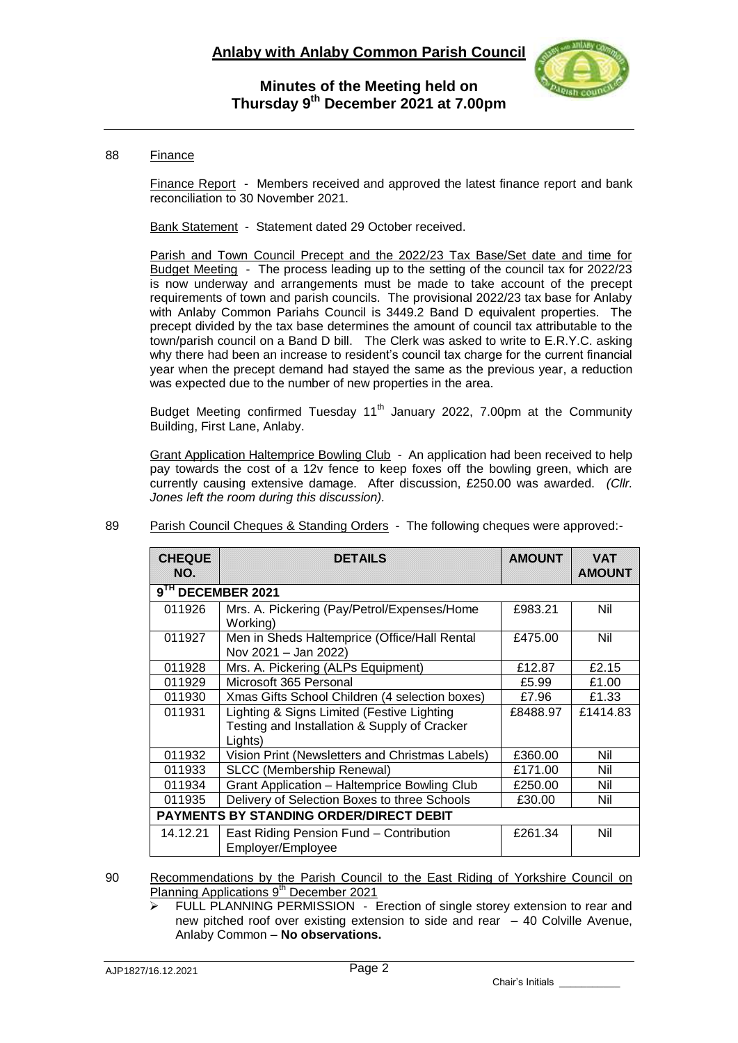

### 88 Finance

Finance Report - Members received and approved the latest finance report and bank reconciliation to 30 November 2021.

Bank Statement - Statement dated 29 October received.

Parish and Town Council Precept and the 2022/23 Tax Base/Set date and time for Budget Meeting - The process leading up to the setting of the council tax for 2022/23 is now underway and arrangements must be made to take account of the precept requirements of town and parish councils. The provisional 2022/23 tax base for Anlaby with Anlaby Common Pariahs Council is 3449.2 Band D equivalent properties. The precept divided by the tax base determines the amount of council tax attributable to the town/parish council on a Band D bill. The Clerk was asked to write to E.R.Y.C. asking why there had been an increase to resident's council tax charge for the current financial year when the precept demand had stayed the same as the previous year, a reduction was expected due to the number of new properties in the area.

Budget Meeting confirmed Tuesday 11<sup>th</sup> January 2022, 7.00pm at the Community Building, First Lane, Anlaby.

Grant Application Haltemprice Bowling Club - An application had been received to help pay towards the cost of a 12v fence to keep foxes off the bowling green, which are currently causing extensive damage. After discussion, £250.00 was awarded. *(Cllr. Jones left the room during this discussion).*

| <b>CHEQUE</b><br>NO.                           | <b>DETAILS</b>                                                                                                                | <b>AMOUNT</b> | <b>VAT</b><br><b>AMOUNT</b> |  |  |
|------------------------------------------------|-------------------------------------------------------------------------------------------------------------------------------|---------------|-----------------------------|--|--|
| 9TH DECEMBER 2021                              |                                                                                                                               |               |                             |  |  |
| 011926                                         | Mrs. A. Pickering (Pay/Petrol/Expenses/Home<br>Working)                                                                       | £983.21       | Nil                         |  |  |
| 011927                                         | Men in Sheds Haltemprice (Office/Hall Rental<br>Nov 2021 - Jan 2022)                                                          | £475.00       | Nil                         |  |  |
| 011928                                         | Mrs. A. Pickering (ALPs Equipment)                                                                                            | £12.87        | £2.15                       |  |  |
| 011929                                         | Microsoft 365 Personal                                                                                                        | £5.99         | £1.00                       |  |  |
| 011930                                         | Xmas Gifts School Children (4 selection boxes)                                                                                | £7.96         | £1.33                       |  |  |
| 011931                                         | Lighting & Signs Limited (Festive Lighting<br>£1414.83<br>£8488.97<br>Testing and Installation & Supply of Cracker<br>Lights) |               |                             |  |  |
| 011932                                         | Vision Print (Newsletters and Christmas Labels)                                                                               | £360.00       | Nil                         |  |  |
| 011933                                         | <b>SLCC (Membership Renewal)</b>                                                                                              | £171.00       | Nil                         |  |  |
| 011934                                         | Grant Application - Haltemprice Bowling Club                                                                                  | £250.00       | Nil                         |  |  |
| 011935                                         | Delivery of Selection Boxes to three Schools                                                                                  | £30.00        | Nil                         |  |  |
| <b>PAYMENTS BY STANDING ORDER/DIRECT DEBIT</b> |                                                                                                                               |               |                             |  |  |
| 14.12.21                                       | East Riding Pension Fund - Contribution<br>Employer/Employee                                                                  | £261.34       | Nil                         |  |  |

89 Parish Council Cheques & Standing Orders - The following cheques were approved:-

90 Recommendations by the Parish Council to the East Riding of Yorkshire Council on Planning Applications 9<sup>th</sup> December 2021

 FULL PLANNING PERMISSION - Erection of single storey extension to rear and new pitched roof over existing extension to side and rear – 40 Colville Avenue, Anlaby Common – **No observations.**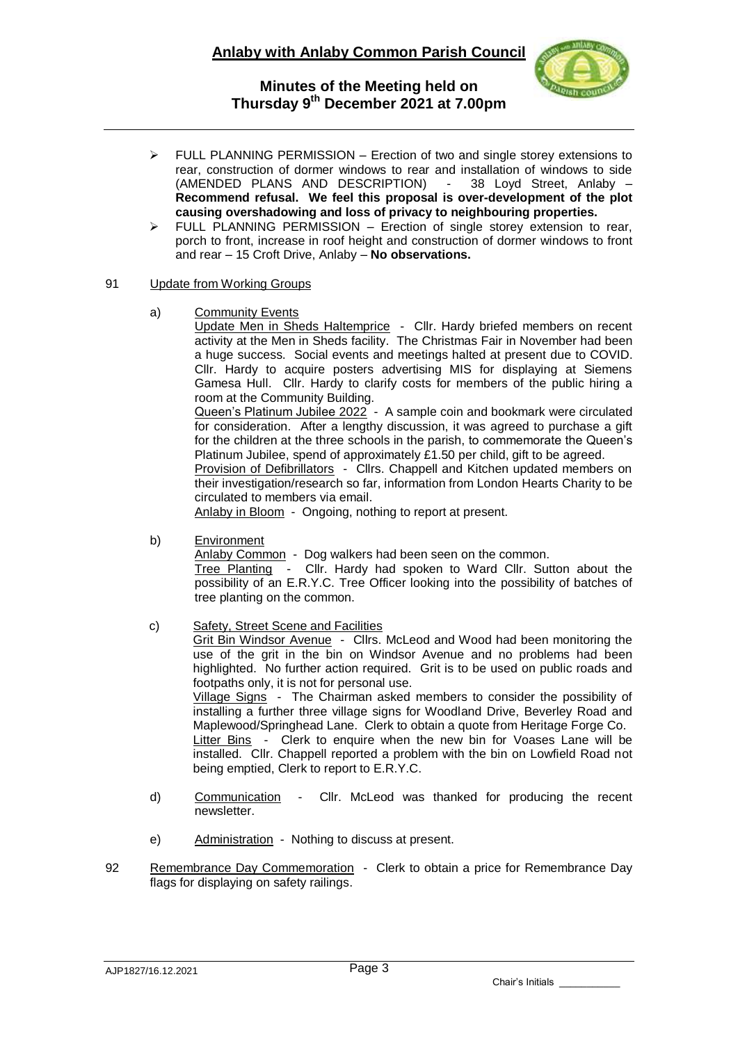

- $\triangleright$  FULL PLANNING PERMISSION Erection of two and single storey extensions to rear, construction of dormer windows to rear and installation of windows to side (AMENDED PLANS AND DESCRIPTION) - 38 Loyd Street, Anlaby – **Recommend refusal. We feel this proposal is over-development of the plot causing overshadowing and loss of privacy to neighbouring properties.**
- $\triangleright$  FULL PLANNING PERMISSION Erection of single storey extension to rear, porch to front, increase in roof height and construction of dormer windows to front and rear – 15 Croft Drive, Anlaby – **No observations.**

#### 91 Update from Working Groups

a) Community Events

Update Men in Sheds Haltemprice - Cllr. Hardy briefed members on recent activity at the Men in Sheds facility. The Christmas Fair in November had been a huge success. Social events and meetings halted at present due to COVID. Cllr. Hardy to acquire posters advertising MIS for displaying at Siemens Gamesa Hull. Cllr. Hardy to clarify costs for members of the public hiring a room at the Community Building.

Queen's Platinum Jubilee 2022 - A sample coin and bookmark were circulated for consideration. After a lengthy discussion, it was agreed to purchase a gift for the children at the three schools in the parish, to commemorate the Queen's Platinum Jubilee, spend of approximately £1.50 per child, gift to be agreed.

Provision of Defibrillators - Cllrs. Chappell and Kitchen updated members on their investigation/research so far, information from London Hearts Charity to be circulated to members via email.

Anlaby in Bloom - Ongoing, nothing to report at present.

b) Environment

Anlaby Common - Dog walkers had been seen on the common.

Tree Planting - Cllr. Hardy had spoken to Ward Cllr. Sutton about the possibility of an E.R.Y.C. Tree Officer looking into the possibility of batches of tree planting on the common.

c) Safety, Street Scene and Facilities

Grit Bin Windsor Avenue - Cllrs. McLeod and Wood had been monitoring the use of the grit in the bin on Windsor Avenue and no problems had been highlighted. No further action required. Grit is to be used on public roads and footpaths only, it is not for personal use. Village Signs - The Chairman asked members to consider the possibility of installing a further three village signs for Woodland Drive, Beverley Road and Maplewood/Springhead Lane. Clerk to obtain a quote from Heritage Forge Co.

Litter Bins - Clerk to enquire when the new bin for Voases Lane will be installed. Cllr. Chappell reported a problem with the bin on Lowfield Road not being emptied, Clerk to report to E.R.Y.C.

- d) Communication Cllr. McLeod was thanked for producing the recent newsletter.
- e) Administration Nothing to discuss at present.
- 92 Remembrance Day Commemoration Clerk to obtain a price for Remembrance Day flags for displaying on safety railings.